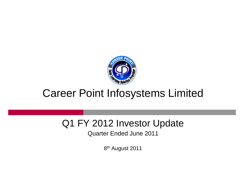

## Career Point Infosystems Limited

## Q1 FY 2012 Investor Update

Quarter Ended June 2011

8<sup>th</sup> August 2011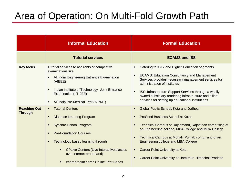## Area of Operation: On Multi-Fold Growth Path

|                                       | <b>Informal Education</b>                                                                                                                                                                                                                                                                                                                        | <b>Formal Education</b>                                                                                                                                                                                                                                                                                                                                                                                                                           |  |  |
|---------------------------------------|--------------------------------------------------------------------------------------------------------------------------------------------------------------------------------------------------------------------------------------------------------------------------------------------------------------------------------------------------|---------------------------------------------------------------------------------------------------------------------------------------------------------------------------------------------------------------------------------------------------------------------------------------------------------------------------------------------------------------------------------------------------------------------------------------------------|--|--|
|                                       | <b>Tutorial services</b>                                                                                                                                                                                                                                                                                                                         | <b>ECAMS and ISS</b>                                                                                                                                                                                                                                                                                                                                                                                                                              |  |  |
| <b>Key focus</b>                      | Tutorial services to aspirants of competitive<br>examinations like:<br>All India Engineering Entrance Examination<br>٠.<br>(AIEEE)<br>Indian Institute of Technology - Joint Entrance<br>٠<br>Examination (IIT-JEE)<br>All India Pre-Medical Test (AIPMT)<br>$\blacksquare$                                                                      | Catering to K-12 and Higher Education segments<br>٠<br><b>ECAMS: Education Consultancy and Management</b><br>$\blacksquare$<br>Services provides necessary management services for<br>administration of institutes<br>ISS: Infrastructure Support Services through a wholly<br>$\blacksquare$<br>owned subsidiary rendering infrastructure and allied<br>services for setting up educational institutions                                         |  |  |
| <b>Reaching Out</b><br><b>Through</b> | <b>Tutorial Centers</b><br>$\blacksquare$<br><b>Distance Learning Program</b><br>٠<br>Synchro-School Program<br>٠<br><b>Pre-Foundation Courses</b><br>$\blacksquare$<br>Technology based learning through<br>٠<br><b>CPLive Centers (Live Interactive classes</b><br>٠<br>over internet broadband)<br>ecareerpoint.com : Online Test Series<br>٠ | Global Public School, Kota and Jodhpur<br><b>ProSeed Business School at Kota,</b><br>$\blacksquare$<br>Technical Campus at Rajsamand, Rajasthan comprising of<br>$\blacksquare$<br>an Engineering college, MBA College and MCA College<br>Technical Campus at Mohali, Punjab comprising of an<br>٠<br>Engineering college and MBA College<br><b>Career Point University at Kota</b><br>٠<br>Career Point University at Hamirpur, Himachal Pradesh |  |  |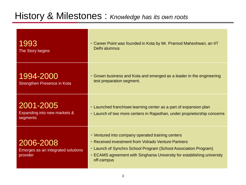## History & Milestones : *Knowledge has its own roots*

| 1993<br>The Story begins                                    | • Career Point was founded in Kota by Mr. Pramod Maheshwari, an IIT<br>Delhi alumnus                                                                                                                                                                                 |
|-------------------------------------------------------------|----------------------------------------------------------------------------------------------------------------------------------------------------------------------------------------------------------------------------------------------------------------------|
| 1994-2000<br>Strengthen Presence in Kota                    | Grown business and Kota and emerged as a leader in the engineering<br>$\bullet$<br>test preparation segment.                                                                                                                                                         |
| 2001-2005<br>Expanding into new markets &<br>segments       | • Launched franchisee learning center as a part of expansion plan<br>• Launch of two more centers in Rajasthan, under proprietorship concerns                                                                                                                        |
| 2006-2008<br>Emerges as an integrated solutions<br>provider | • Ventured into company operated training centers<br>• Received investment from Volrado Venture Partners<br>• Launch of Synchro School Program (School Association Program)<br>• ECAMS agreement with Singhania University for establishing university<br>off-campus |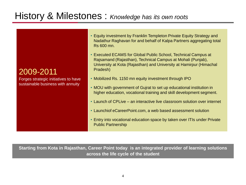## History & Milestones : *Knowledge has its own roots*

2009-2011

Forges strategic initiatives to have sustainable business with annuity

- Equity investment by Franklin Templeton Private Equity Strategy and Nadathur Raghavan for and behalf of Kalpa Partners aggregating total Rs 600 mn.
- Executed ECAMS for Global Public School, Technical Campus at Rajsamand (Rajasthan), Technical Campus at Mohali (Punjab), University at Kota (Rajasthan) and University at Hamirpur (Himachal Pradesh)
- Mobilized Rs. 1150 mn equity investment through IPO
- MOU with government of Gujrat to set up educational institution in higher education, vocational training and skill development segment.
- Launch of CPLive an interactive live classroom solution over internet
- Launchiof eCareerPoint.com, a web based assessment solution
- Entry into vocational education space by taken over ITIs under Private Public Partnership

**Starting from Kota in Rajasthan, Career Point today is an integrated provider of learning solutions across the life cycle of the student**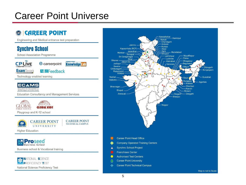## Career Point Universe

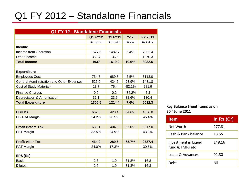## Q1 FY 2012 – Standalone Financials

| Q1 FY 12 - Standalone Financials                 |                                                    |                 |          |          |  |
|--------------------------------------------------|----------------------------------------------------|-----------------|----------|----------|--|
|                                                  | <b>Q1 FY11</b><br><b>Q1 FY12</b><br>FY 2011<br>YoY |                 |          |          |  |
|                                                  | <b>Rs Lakhs</b>                                    | <b>Rs Lakhs</b> | %age     | Rs Lakhs |  |
| <b>Income</b>                                    |                                                    |                 |          |          |  |
| Income from Operation                            | 1577.6                                             | 1482.7          | 6.4%     | 7862.4   |  |
| Other Income                                     | 359.4                                              | 136.5           |          | 1070.3   |  |
| <b>Total Income</b>                              | 1937                                               | 1619.2          | 19.6%    | 8932.6   |  |
|                                                  |                                                    |                 |          |          |  |
| <b>Expenditure</b>                               |                                                    |                 |          |          |  |
| <b>Employees Cost</b>                            | 734.7                                              | 689.8           | 6.5%     | 3113.0   |  |
| <b>General Administration and Other Expenses</b> | 526.0                                              | 424.6           | 23.9%    | 1481.8   |  |
| Cost of Study Material*                          | 13.7                                               | 76.4            | $-82.1%$ | 281.9    |  |
| <b>Finance Charges</b>                           | 0.9                                                | 0.2             | 434.2%   | 5.3      |  |
| Depreciation & Amortisation                      | 31.1                                               | 23.5            | 32.6%    | 130.4    |  |
| <b>Total Expenditure</b>                         | 1306.5                                             | 1214.4          | 7.6%     | 5012.3   |  |
|                                                  |                                                    |                 |          |          |  |
| <b>EBITDA</b>                                    | 662.6                                              | 428.4           | 54.6%    | 4056.0   |  |
| <b>EBITDA Margin</b>                             | 34.2%                                              | 26.5%           |          | 45.4%    |  |
|                                                  |                                                    |                 |          |          |  |
| <b>Profit Before Tax</b>                         | 630.1                                              | 404.0           | 56.0%    | 3917.0   |  |
| PBT Margin                                       | 32.5%                                              | 24.9%           |          | 43.9%    |  |
|                                                  |                                                    |                 |          |          |  |
| <b>Profit After Tax</b>                          | 464.9                                              | 280.6           | 65.7%    | 2737.4   |  |
| PAT Margin                                       | 24.0%                                              | 17.3%           |          | 30.6%    |  |
|                                                  |                                                    |                 |          |          |  |
| EPS (Rs)                                         |                                                    |                 |          |          |  |
| <b>Basic</b>                                     | 2.6                                                | 1.9             | 31.8%    | 16.8     |  |
| <b>Diluted</b>                                   | 2.6                                                | 1.9             | 31.8%    | 16.8     |  |

#### **Key Balance Sheet Items as on 30th June 2011**

| <b>Item</b>                             | In Rs (Cr) |
|-----------------------------------------|------------|
| Net Worth                               | 277.81     |
| Cash & Bank balance                     | 13.55      |
| Investment in Liquid<br>fund & FMPs etc | 148.16     |
| Loans & Advances                        | 91.80      |
| Debt                                    | Nil        |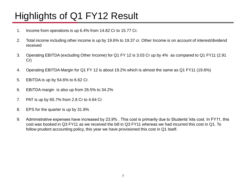# Highlights of Q1 FY12 Result

- 1. Income from operations is up 6.4% from 14.82 Cr to 15.77 Cr.
- 2. Total income including other income is up by 19.6% to 19.37 cr. Other Income is on account of interest/dividend received
- 3. Operating EBITDA (excluding Other Income) for Q1 FY 12 is 3.03 Cr up by 4% as compared to Q1 FY11 (2.91 Cr)
- 4. Operating EBITDA Margin for Q1 FY 12 is about 19.2% which is almost the same as Q1 FY11 (19.6%)
- 5. EBITDA is up by 54.6% to 6.62 Cr.
- 6. EBITDA margin is also up from 26.5% to 34.2%
- 7. PAT is up by 65.7% from 2.8 Cr to 4.64 Cr
- 8. EPS for the quarter is up by 31.8%
- 9. Administrative expenses have increased by 23.9% . This cost is primarily due to Students' kits cost. In FY11, this cost was booked in Q3 FY11 as we received the bill in Q3 FY11 whereas we had incurred this cost in Q1. To follow prudent accounting policy, this year we have provisioned this cost in Q1 itself.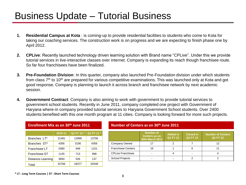## Business Update – Tutorial Business

- **1. Residential Campus at Kota** : is coming-up to provide residential facilities to students who come to Kota for taking our coaching services. The construction work is on progress and we are expecting to finish phase one by April 2012.
- **2. CPLive**: Recently launched technology driven learning solution with Brand name "CPLive". Under this we provide tutorial services in live-interactive classes over internet. Company is expanding its reach though franchisee route. So far four franchisees have been finalized.
- **3. Pre-Foundation Division**: In this quarter, company also launched Pre-Foundation division under which students from class 7<sup>th</sup> to 10<sup>th</sup> are prepared for various competitive examinations. This was launched only at Kota and got good response. Company is planning to launch it across branch and franchisee network by next academic session.
- **4. Government Contract**: Company is also aiming to work with government to provide tutorial services to government school students. Recently in June 2011, company completed one project with Government of Haryana where-in company provided tutorial services to Haryana Government School students. Over 2400 students benefited with this one month program at 11 cities. Company is looking forward for more such projects.

|                   | 2010-11 | Q1 FY 12 * | Q1 FY 11 * |
|-------------------|---------|------------|------------|
| Branches LT*      | 21491   | 12999      | 13706      |
| Branches ST*      | 4356    | 3190       | 4356       |
| Franchisee LT     | 2080    | 949        | 1151       |
| Franchisee ST     | 1145    | 713        | 998        |
| Distance Learning | 3694    | 526        | 137        |
| Total             | 32766   | 18377      | 20348      |

**Enrollment Mix as on 30th June 2011**

#### **Number of Centers as on 30th June 2011**

|                           | <b>Number of</b><br><b>Centers as on</b><br><b>30th March 2011</b> | <b>Added in</b><br><b>Q1 FY 12</b> | <b>Closed in</b><br><b>Q1 FY 12</b> | <b>Number of Centers</b><br><b>Q1 FY 12</b> |
|---------------------------|--------------------------------------------------------------------|------------------------------------|-------------------------------------|---------------------------------------------|
| Company Owned             |                                                                    | 2                                  |                                     | 12                                          |
| <b>Franchisee Centers</b> | 16                                                                 |                                    | 6                                   |                                             |
| <b>CPLive Franchisee</b>  | ۰                                                                  |                                    | ۰                                   |                                             |
| <b>School Projects</b>    | -                                                                  |                                    |                                     |                                             |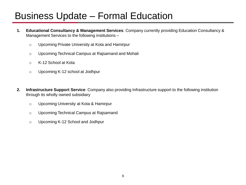## Business Update – Formal Education

- **1. Educational Consultancy & Management Services**: Company currently providing Education Consultancy & Management Services to the following institutions –
	- o Upcoming Private University at Kota and Hamirpur
	- o Upcoming Technical Campus at Rajsamand and Mohali
	- o K-12 School at Kota
	- o Upcoming K-12 school at Jodhpur
- **2. Infrastructure Support Service**: Company also providing Infrastructure support to the following institution through its wholly owned subsidiary
	- o Upcoming University at Kota & Hamirpur
	- o Upcoming Technical Campus at Rajsamand
	- o Upcoming K-12 School and Jodhpur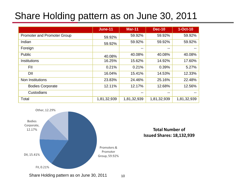## Share Holding pattern as on June 30, 2011

|                             | <b>June-11</b> | <b>Mar-11</b> | <b>Dec-10</b> | $1-Oct-10$  |
|-----------------------------|----------------|---------------|---------------|-------------|
| Promoter and Promoter Group | 59.92%         | 59.92%        | 59.92%        | 59.92%      |
| Indian                      | 59.92%         | 59.92%        | 59.92%        | 59.92%      |
| Foreign                     |                | $- -$         | --            |             |
| Public                      | 40.08%         | 40.08%        | 40.08%        | 40.08%      |
| Institutions                | 16.25%         | 15.62%        | 14.92%        | 17.60%      |
| <b>FII</b>                  | 0.21%          | 0.21%         | 0.39%         | 5.27%       |
| DII                         | 16.04%         | 15.41%        | 14.53%        | 12.33%      |
| Non Institutions            | 23.83%         | 24.46%        | 25.16%        | 22.48%      |
| <b>Bodies Corporate</b>     | 12.11%         | 12.17%        | 12.68%        | 12.56%      |
| Custodians                  |                | $- -$         | --            |             |
| Total                       | 1,81,32,939    | 1,81,32,939   | 1,81,32,939   | 1,81,32,939 |



### **Total Number of Issued Shares: 18,132,939**